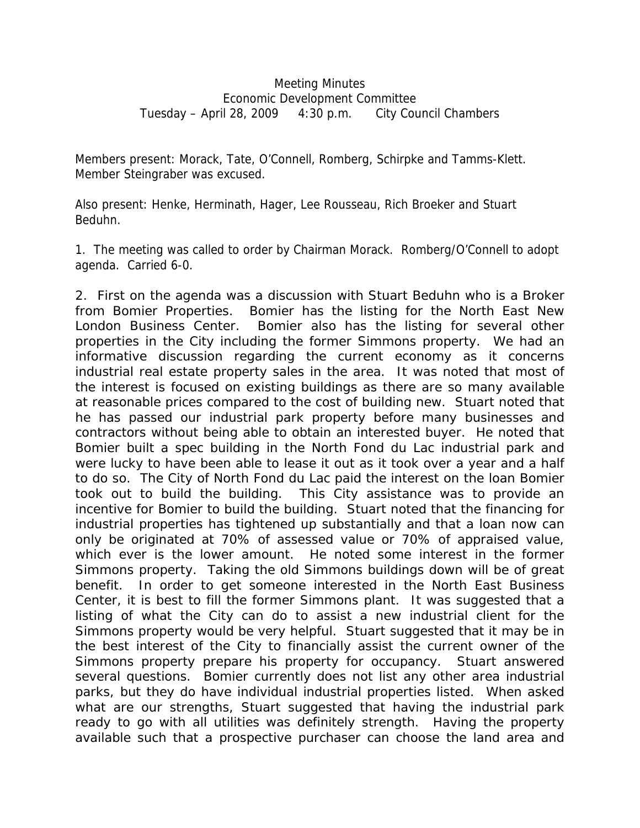## Meeting Minutes Economic Development Committee Tuesday – April 28, 2009 4:30 p.m. City Council Chambers

Members present: Morack, Tate, O'Connell, Romberg, Schirpke and Tamms-Klett. Member Steingraber was excused.

Also present: Henke, Herminath, Hager, Lee Rousseau, Rich Broeker and Stuart Beduhn.

1. The meeting was called to order by Chairman Morack. Romberg/O'Connell to adopt agenda. Carried 6-0.

2. First on the agenda was a discussion with Stuart Beduhn who is a Broker from Bomier Properties. Bomier has the listing for the North East New London Business Center. Bomier also has the listing for several other properties in the City including the former Simmons property. We had an informative discussion regarding the current economy as it concerns industrial real estate property sales in the area. It was noted that most of the interest is focused on existing buildings as there are so many available at reasonable prices compared to the cost of building new. Stuart noted that he has passed our industrial park property before many businesses and contractors without being able to obtain an interested buyer. He noted that Bomier built a spec building in the North Fond du Lac industrial park and were lucky to have been able to lease it out as it took over a year and a half to do so. The City of North Fond du Lac paid the interest on the loan Bomier took out to build the building. This City assistance was to provide an incentive for Bomier to build the building. Stuart noted that the financing for industrial properties has tightened up substantially and that a loan now can only be originated at 70% of assessed value or 70% of appraised value, which ever is the lower amount. He noted some interest in the former Simmons property. Taking the old Simmons buildings down will be of great benefit. In order to get someone interested in the North East Business Center, it is best to fill the former Simmons plant. It was suggested that a listing of what the City can do to assist a new industrial client for the Simmons property would be very helpful. Stuart suggested that it may be in the best interest of the City to financially assist the current owner of the Simmons property prepare his property for occupancy. Stuart answered several questions. Bomier currently does not list any other area industrial parks, but they do have individual industrial properties listed. When asked what are our strengths, Stuart suggested that having the industrial park ready to go with all utilities was definitely strength. Having the property available such that a prospective purchaser can choose the land area and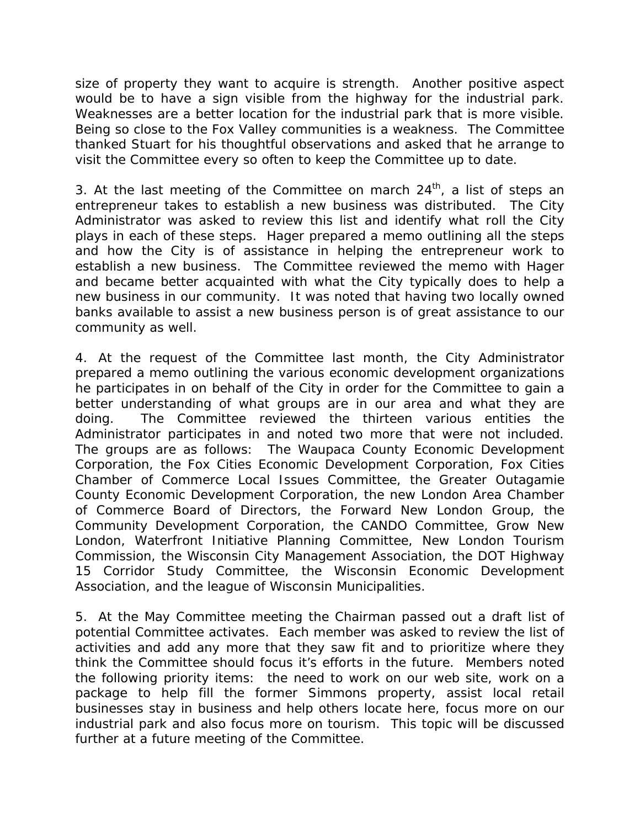size of property they want to acquire is strength. Another positive aspect would be to have a sign visible from the highway for the industrial park. Weaknesses are a better location for the industrial park that is more visible. Being so close to the Fox Valley communities is a weakness. The Committee thanked Stuart for his thoughtful observations and asked that he arrange to visit the Committee every so often to keep the Committee up to date.

3. At the last meeting of the Committee on march  $24<sup>th</sup>$ , a list of steps an entrepreneur takes to establish a new business was distributed. The City Administrator was asked to review this list and identify what roll the City plays in each of these steps. Hager prepared a memo outlining all the steps and how the City is of assistance in helping the entrepreneur work to establish a new business. The Committee reviewed the memo with Hager and became better acquainted with what the City typically does to help a new business in our community. It was noted that having two locally owned banks available to assist a new business person is of great assistance to our community as well.

4. At the request of the Committee last month, the City Administrator prepared a memo outlining the various economic development organizations he participates in on behalf of the City in order for the Committee to gain a better understanding of what groups are in our area and what they are doing. The Committee reviewed the thirteen various entities the Administrator participates in and noted two more that were not included. The groups are as follows: The Waupaca County Economic Development Corporation, the Fox Cities Economic Development Corporation, Fox Cities Chamber of Commerce Local Issues Committee, the Greater Outagamie County Economic Development Corporation, the new London Area Chamber of Commerce Board of Directors, the Forward New London Group, the Community Development Corporation, the CANDO Committee, Grow New London, Waterfront Initiative Planning Committee, New London Tourism Commission, the Wisconsin City Management Association, the DOT Highway 15 Corridor Study Committee, the Wisconsin Economic Development Association, and the league of Wisconsin Municipalities.

5. At the May Committee meeting the Chairman passed out a draft list of potential Committee activates. Each member was asked to review the list of activities and add any more that they saw fit and to prioritize where they think the Committee should focus it's efforts in the future. Members noted the following priority items: the need to work on our web site, work on a package to help fill the former Simmons property, assist local retail businesses stay in business and help others locate here, focus more on our industrial park and also focus more on tourism. This topic will be discussed further at a future meeting of the Committee.